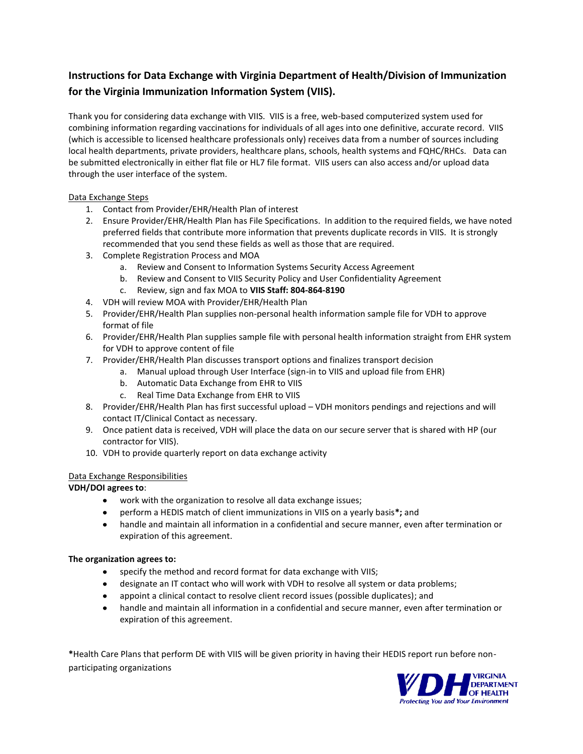# **Instructions for Data Exchange with Virginia Department of Health/Division of Immunization for the Virginia Immunization Information System (VIIS).**

Thank you for considering data exchange with VIIS. VIIS is a free, web-based computerized system used for combining information regarding vaccinations for individuals of all ages into one definitive, accurate record. VIIS (which is accessible to licensed healthcare professionals only) receives data from a number of sources including local health departments, private providers, healthcare plans, schools, health systems and FQHC/RHCs. Data can be submitted electronically in either flat file or HL7 file format. VIIS users can also access and/or upload data through the user interface of the system.

#### Data Exchange Steps

- 1. Contact from Provider/EHR/Health Plan of interest
- 2. Ensure Provider/EHR/Health Plan has File Specifications. In addition to the required fields, we have noted preferred fields that contribute more information that prevents duplicate records in VIIS. It is strongly recommended that you send these fields as well as those that are required.
- 3. Complete Registration Process and MOA
	- a. Review and Consent to Information Systems Security Access Agreement
	- b. Review and Consent to VIIS Security Policy and User Confidentiality Agreement
	- c. Review, sign and fax MOA to **VIIS Staff: 804-864-8190**
- 4. VDH will review MOA with Provider/EHR/Health Plan
- 5. Provider/EHR/Health Plan supplies non-personal health information sample file for VDH to approve format of file
- 6. Provider/EHR/Health Plan supplies sample file with personal health information straight from EHR system for VDH to approve content of file
- 7. Provider/EHR/Health Plan discusses transport options and finalizes transport decision
	- a. Manual upload through User Interface (sign-in to VIIS and upload file from EHR)
		- b. Automatic Data Exchange from EHR to VIIS
		- c. Real Time Data Exchange from EHR to VIIS
- 8. Provider/EHR/Health Plan has first successful upload VDH monitors pendings and rejections and will contact IT/Clinical Contact as necessary.
- 9. Once patient data is received, VDH will place the data on our secure server that is shared with HP (our contractor for VIIS).
- 10. VDH to provide quarterly report on data exchange activity

## Data Exchange Responsibilities

## **VDH/DOI agrees to**:

- work with the organization to resolve all data exchange issues;
- perform a HEDIS match of client immunizations in VIIS on a yearly basis**\*;** and
- handle and maintain all information in a confidential and secure manner, even after termination or expiration of this agreement.

#### **The organization agrees to:**

- specify the method and record format for data exchange with VIIS;
- designate an IT contact who will work with VDH to resolve all system or data problems;
- appoint a clinical contact to resolve client record issues (possible duplicates); and
- handle and maintain all information in a confidential and secure manner, even after termination or expiration of this agreement.

**\***Health Care Plans that perform DE with VIIS will be given priority in having their HEDIS report run before nonparticipating organizations